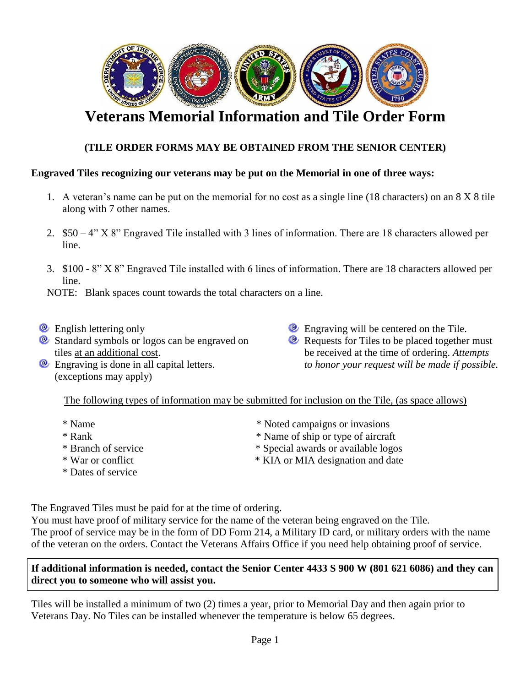

# **Veterans Memorial Information and Tile Order Form**

### **(TILE ORDER FORMS MAY BE OBTAINED FROM THE SENIOR CENTER)**

#### **Engraved Tiles recognizing our veterans may be put on the Memorial in one of three ways:**

- 1. A veteran's name can be put on the memorial for no cost as a single line (18 characters) on an 8 X 8 tile along with 7 other names.
- 2. \$50 4" X 8" Engraved Tile installed with 3 lines of information. There are 18 characters allowed per line.
- 3. \$100 8" X 8" Engraved Tile installed with 6 lines of information. There are 18 characters allowed per line.

NOTE: Blank spaces count towards the total characters on a line.

- **English lettering only**
- $\bullet$  Standard symbols or logos can be engraved on tiles at an additional cost.
- **Engraving is done in all capital letters.** (exceptions may apply)
- **Engraving will be centered on the Tile.**
- **Requests for Tiles to be placed together must** be received at the time of ordering. *Attempts to honor your request will be made if possible.*

The following types of information may be submitted for inclusion on the Tile, (as space allows)

- 
- 
- 
- 
- \* Dates of service
- \* Name  $*$  Noted campaigns or invasions
- \* Rank \* Name of ship or type of aircraft
- \* Branch of service \*  $\bullet$  \* Special awards or available logos
- \* War or conflict \* KIA or MIA designation and date

The Engraved Tiles must be paid for at the time of ordering.

You must have proof of military service for the name of the veteran being engraved on the Tile. The proof of service may be in the form of DD Form 214, a Military ID card, or military orders with the name of the veteran on the orders. Contact the Veterans Affairs Office if you need help obtaining proof of service.

#### **If additional information is needed, contact the Senior Center 4433 S 900 W (801 621 6086) and they can direct you to someone who will assist you.**

Tiles will be installed a minimum of two (2) times a year, prior to Memorial Day and then again prior to Veterans Day. No Tiles can be installed whenever the temperature is below 65 degrees.